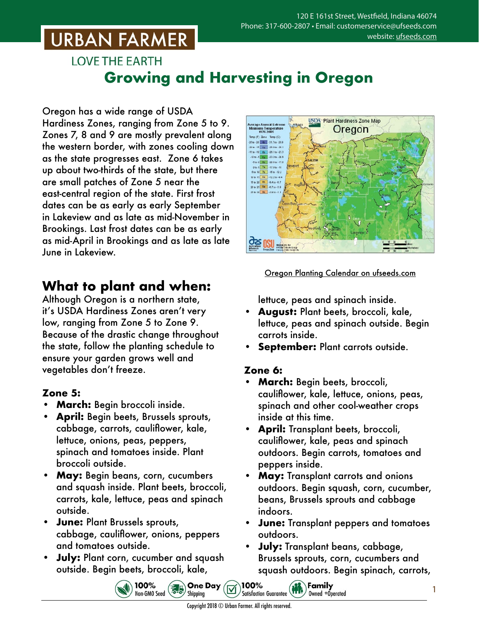### **LOVE THE EARTH Growing and Harvesting in Oregon**

Oregon has a wide range of USDA Hardiness Zones, ranging from Zone 5 to 9. Zones 7, 8 and 9 are mostly prevalent along the western border, with zones cooling down as the state progresses east. Zone 6 takes up about two-thirds of the state, but there are small patches of Zone 5 near the east-central region of the state. First frost dates can be as early as early September in Lakeview and as late as mid-November in Brookings. Last frost dates can be as early as mid-April in Brookings and as late as late June in Lakeview.

### **What to plant and when:**

Although Oregon is a northern state, it's USDA Hardiness Zones aren't very low, ranging from Zone 5 to Zone 9. Because of the drastic change throughout the state, follow the planting schedule to ensure your garden grows well and vegetables don't freeze.

#### **Zone 5:**

- **• March:** Begin broccoli inside.
- **• April:** Begin beets, Brussels sprouts, cabbage, carrots, cauliflower, kale, lettuce, onions, peas, peppers, spinach and tomatoes inside. Plant broccoli outside.
- **• May:** Begin beans, corn, cucumbers and squash inside. Plant beets, broccoli, carrots, kale, lettuce, peas and spinach outside.
- **• June:** Plant Brussels sprouts, cabbage, cauliflower, onions, peppers and tomatoes outside.
- **• July:** Plant corn, cucumber and squash outside. Begin beets, broccoli, kale,

100%

Non-GMO Seed



Oregon Planting Calendar o[n ufseeds.com](https://www.ufseeds.com/learning/planting-schedules/oregon-vegetable-planting-calendar/)

lettuce, peas and spinach inside.

- **• August:** Plant beets, broccoli, kale, lettuce, peas and spinach outside. Begin carrots inside.
- **• September:** Plant carrots outside.

#### **Zone 6:**

- **• March:** Begin beets, broccoli, cauliflower, kale, lettuce, onions, peas, spinach and other cool-weather crops inside at this time.
- **• April:** Transplant beets, broccoli, cauliflower, kale, peas and spinach outdoors. Begin carrots, tomatoes and peppers inside.
- **• May:** Transplant carrots and onions outdoors. Begin squash, corn, cucumber, beans, Brussels sprouts and cabbage indoors.
- **• June:** Transplant peppers and tomatoes outdoors.
- **• July:** Transplant beans, cabbage, Brussels sprouts, corn, cucumbers and squash outdoors. Begin spinach, carrots,

 $\gamma$ Family

Owned +Operated

1

100%

**Satisfaction Guarantee** 

**S.B.** One Day

Shipping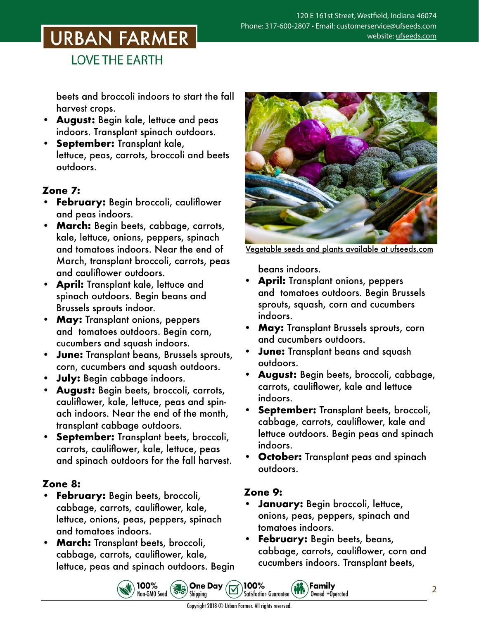**LOVE THE EARTH** 

beets and broccoli indoors to start the fall harvest crops.

- **• August:** Begin kale, lettuce and peas indoors. Transplant spinach outdoors.
- **• September:** Transplant kale, lettuce, peas, carrots, broccoli and beets outdoors.

#### **Zone 7:**

- **• February:** Begin broccoli, cauliflower and peas indoors.
- **• March:** Begin beets, cabbage, carrots, kale, lettuce, onions, peppers, spinach and tomatoes indoors. Near the end of March, transplant broccoli, carrots, peas and cauliflower outdoors.
- **• April:** Transplant kale, lettuce and spinach outdoors. Begin beans and Brussels sprouts indoor.
- **• May:** Transplant onions, peppers and tomatoes outdoors. Begin corn, cucumbers and squash indoors.
- **• June:** Transplant beans, Brussels sprouts, corn, cucumbers and squash outdoors.
- **• July:** Begin cabbage indoors.
- **• August:** Begin beets, broccoli, carrots, cauliflower, kale, lettuce, peas and spinach indoors. Near the end of the month, transplant cabbage outdoors.
- **• September:** Transplant beets, broccoli, carrots, cauliflower, kale, lettuce, peas and spinach outdoors for the fall harvest.

#### **Zone 8:**

- **• February:** Begin beets, broccoli, cabbage, carrots, cauliflower, kale, lettuce, onions, peas, peppers, spinach and tomatoes indoors.
- **• March:** Transplant beets, broccoli, cabbage, carrots, cauliflower, kale, lettuce, peas and spinach outdoors. Begin

100%<br>Non-GM0 Seed (2006) Shipping



Vegetable seeds and plants [available at ufseeds.com](https://www.ufseeds.com/vegetable-seeds-and-plants/)

beans indoors.

- **• April:** Transplant onions, peppers and tomatoes outdoors. Begin Brussels sprouts, squash, corn and cucumbers indoors.
- **• May:** Transplant Brussels sprouts, corn and cucumbers outdoors.
- **• June:** Transplant beans and squash outdoors.
- **• August:** Begin beets, broccoli, cabbage, carrots, cauliflower, kale and lettuce indoors.
- **• September:** Transplant beets, broccoli, cabbage, carrots, cauliflower, kale and lettuce outdoors. Begin peas and spinach indoors.
- **• October:** Transplant peas and spinach outdoors.

#### **Zone 9:**

**• January:** Begin broccoli, lettuce, onions, peas, peppers, spinach and tomatoes indoors.

Family

Owned +Operated

**• February:** Begin beets, beans, cabbage, carrots, cauliflower, corn and cucumbers indoors. Transplant beets,

Copyright 2018 © Urban Farmer. All rights reserved.

100%

Satisfaction Guarantee (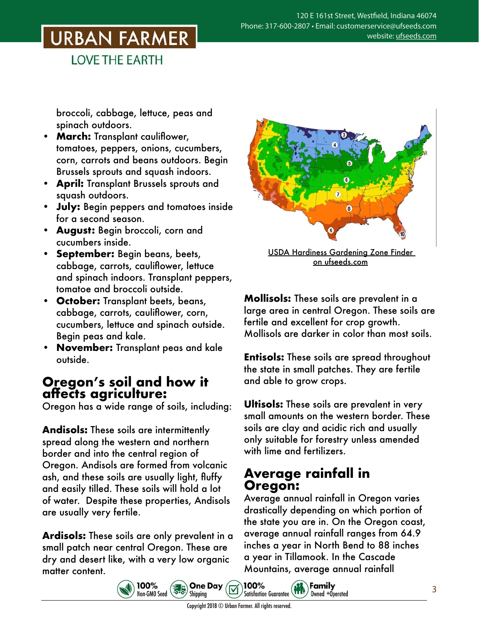**LOVE THE EARTH** 

broccoli, cabbage, lettuce, peas and spinach outdoors.

- **• March:** Transplant cauliflower, tomatoes, peppers, onions, cucumbers, corn, carrots and beans outdoors. Begin Brussels sprouts and squash indoors.
- **• April:** Transplant Brussels sprouts and squash outdoors.
- **• July:** Begin peppers and tomatoes inside for a second season.
- **• August:** Begin broccoli, corn and cucumbers inside.
- **• September:** Begin beans, beets, cabbage, carrots, cauliflower, lettuce and spinach indoors. Transplant peppers, tomatoe and broccoli outside.
- **• October:** Transplant beets, beans, cabbage, carrots, cauliflower, corn, cucumbers, lettuce and spinach outside. Begin peas and kale.
- **• November:** Transplant peas and kale outside.

### **Oregon's soil and how it affects agriculture:**

Oregon has a wide range of soils, including:

**Andisols:** These soils are intermittently spread along the western and northern border and into the central region of Oregon. Andisols are formed from volcanic ash, and these soils are usually light, fluffy and easily tilled. These soils will hold a lot of water. Despite these properties, Andisols are usually very fertile.

**Ardisols:** These soils are only prevalent in a small patch near central Oregon. These are dry and desert like, with a very low organic matter content.

100%

 $\frac{100\%}{\text{Non-GMO}\ \text{Seed}}$ 



USDA Hardiness Gardening Zone Finder on [ufseeds.com](https://www.ufseeds.com/learning/growing-zones/)

**Mollisols:** These soils are prevalent in a large area in central Oregon. These soils are fertile and excellent for crop growth. Mollisols are darker in color than most soils.

**Entisols:** These soils are spread throughout the state in small patches. They are fertile and able to grow crops.

**Ultisols:** These soils are prevalent in very small amounts on the western border. These soils are clay and acidic rich and usually only suitable for forestry unless amended with lime and fertilizers.

### **Average rainfall in Oregon:**

Average annual rainfall in Oregon varies drastically depending on which portion of the state you are in. On the Oregon coast, average annual rainfall ranges from 64.9 inches a year in North Bend to 88 inches a year in Tillamook. In the Cascade Mountains, average annual rainfall

Owned +Operated



**One Day** 

Shipping